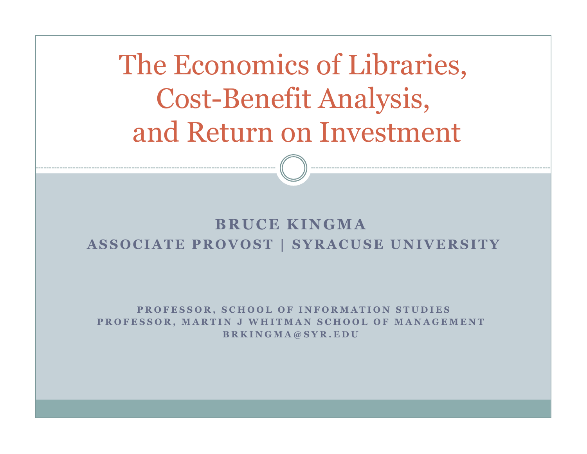The Economics of Libraries,Cost-Benefit Analysis,and Return on Investment

#### **BRUCE KINGMA ASSOCIATE PROVOST | SYRACUSE UNIVERSITY**

PROFESSOR, SCHOOL OF INFORMATION STUDIES PROFESSOR, MARTIN J WHITMAN SCHOOL OF MANAGEMENT **BRKINGMA@SYR.EDU**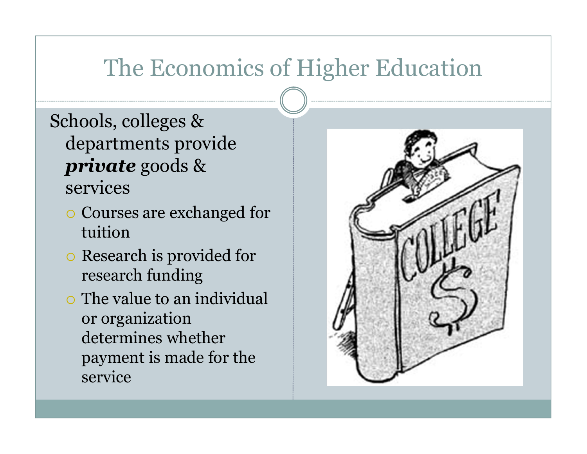# The Economics of Higher Education

- Schools, colleges & departments provide *private* goods & services
	- Courses are exchanged for tuition
	- o Research is provided for research funding
	- $\circ$  The value to an individual or organization determines whether payment is made for the service

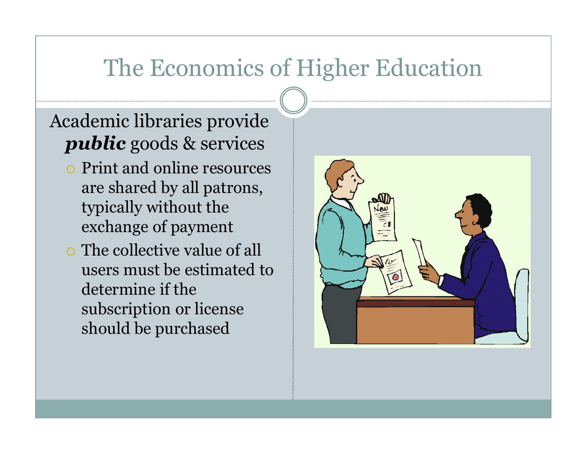## The Economics of Higher Education

### Academic libraries provide *public* goods & services

- Print and online resources are shared by all patrons, typically without the exchange of payment
- o The collective value of all users must be estimated to determine if the subscription or license should be purchased

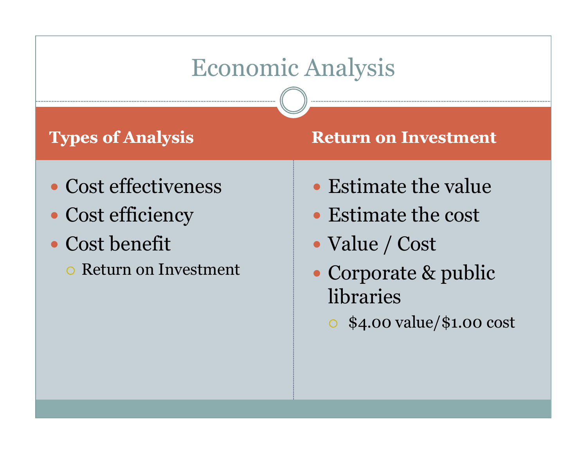## Economic Analysis

### **Types of Analysis**

#### **Return on Investment**

- Cost effectiveness
- Cost efficiency
- Cost benefit
	- o Return on Investment
- Estimate the value
- Estimate the cost
- Value / Cost
- Corporate & public libraries
	- \$4.00 value/\$1.00 cost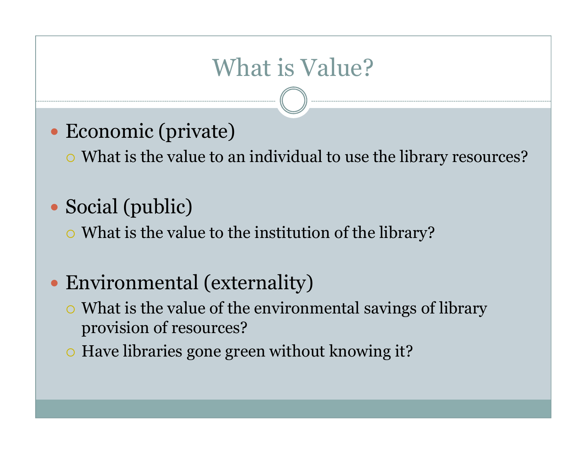# What is Value?

Economic (private)

What is the value to an individual to use the library resources?

Social (public)

 $\circ$  What is the value to the institution of the library?

- Environmental (externality)
	- $\circ$  What is the value of the environmental savings of library provision of resources?
	- $\circ$  Have libraries gone green without knowing it?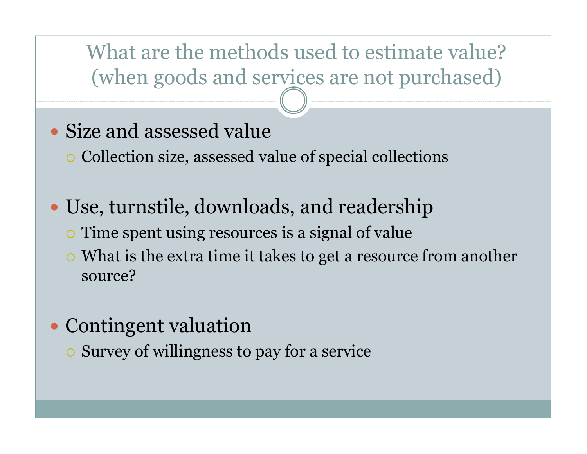What are the methods used to estimate value?(when goods and services are not purchased)

- Size and assessed value
	- Collection size, assessed value of special collections
- Use, turnstile, downloads, and readership
	- $\circ$  Time spent using resources is a signal of value
	- $\circ$  What is the extra time it takes to get a resource from another source?
- Contingent valuation
	- $\circ$  Survey of willingness to pay for a service